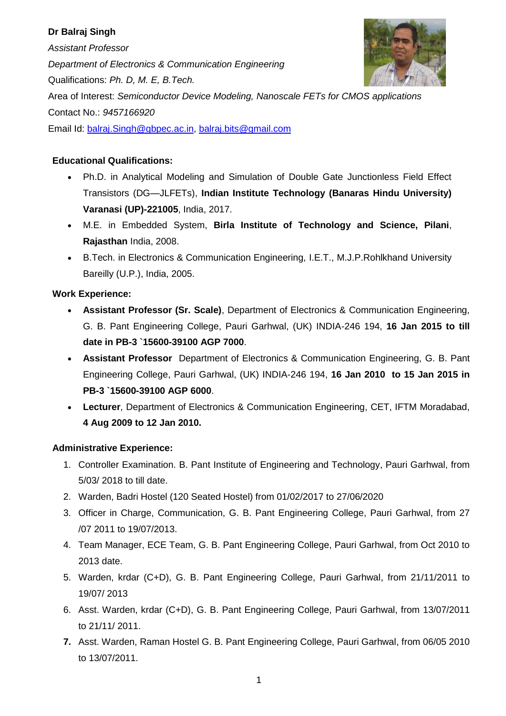# **Dr Balraj Singh**

*Assistant Professor Department of Electronics & Communication Engineering* Qualifications: *Ph. D, M. E, B.Tech.* Area of Interest: *Semiconductor Device Modeling, Nanoscale FETs for CMOS applications*  Contact No.: *9457166920* Email Id: [balraj.Singh@gbpec.ac.in,](mailto:balraj.Singh@gbpec.ac.in) [balraj.bits@gmail.com](mailto:balraj.bits@gmail.com)

## **Educational Qualifications:**

- Ph.D. in Analytical Modeling and Simulation of Double Gate Junctionless Field Effect Transistors (DG—JLFETs), **Indian Institute Technology (Banaras Hindu University) Varanasi (UP)-221005**, India, 2017.
- M.E. in Embedded System, **Birla Institute of Technology and Science, Pilani**, **Rajasthan** India, 2008.
- B.Tech. in Electronics & Communication Engineering, I.E.T., M.J.P.Rohlkhand University Bareilly (U.P.), India, 2005.

## **Work Experience:**

- **Assistant Professor (Sr. Scale)**, Department of Electronics & Communication Engineering, G. B. Pant Engineering College, Pauri Garhwal, (UK) INDIA-246 194, **16 Jan 2015 to till date in PB-3 `15600-39100 AGP 7000**.
- **Assistant Professor** Department of Electronics & Communication Engineering, G. B. Pant Engineering College, Pauri Garhwal, (UK) INDIA-246 194, **16 Jan 2010 to 15 Jan 2015 in PB-3 `15600-39100 AGP 6000**.
- **Lecturer**, Department of Electronics & Communication Engineering, CET, IFTM Moradabad, **4 Aug 2009 to 12 Jan 2010.**

## **Administrative Experience:**

- 1. Controller Examination. B. Pant Institute of Engineering and Technology, Pauri Garhwal, from 5/03/ 2018 to till date.
- 2. Warden, Badri Hostel (120 Seated Hostel) from 01/02/2017 to 27/06/2020
- 3. Officer in Charge, Communication, G. B. Pant Engineering College, Pauri Garhwal, from 27 /07 2011 to 19/07/2013.
- 4. Team Manager, ECE Team, G. B. Pant Engineering College, Pauri Garhwal, from Oct 2010 to 2013 date.
- 5. Warden, krdar (C+D), G. B. Pant Engineering College, Pauri Garhwal, from 21/11/2011 to 19/07/ 2013
- 6. Asst. Warden, krdar (C+D), G. B. Pant Engineering College, Pauri Garhwal, from 13/07/2011 to 21/11/ 2011.
- **7.** Asst. Warden, Raman Hostel G. B. Pant Engineering College, Pauri Garhwal, from 06/05 2010 to 13/07/2011.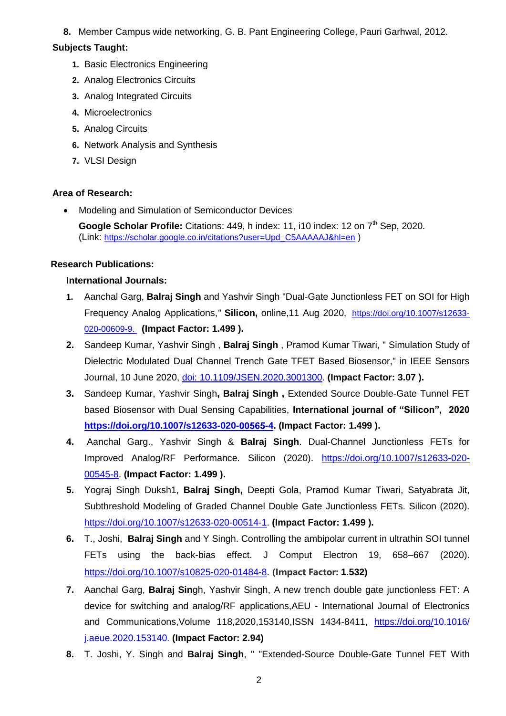**8.** Member Campus wide networking, G. B. Pant Engineering College, Pauri Garhwal, 2012.

## **Subjects Taught:**

- **1.** Basic Electronics Engineering
- **2.** Analog Electronics Circuits
- **3.** Analog Integrated Circuits
- **4.** Microelectronics
- **5.** Analog Circuits
- **6.** Network Analysis and Synthesis
- **7.** VLSI Design

## **Area of Research:**

• Modeling and Simulation of Semiconductor Devices

Google Scholar Profile: Citations: 449, h index: 11, i10 index: 12 on 7<sup>th</sup> Sep, 2020. (Link: [https://scholar.google.co.in/citations?user=Upd\\_C5AAAAAJ&hl=en](https://scholar.google.co.in/citations?user=Upd_C5AAAAAJ&hl=en) )

## **Research Publications:**

## **International Journals:**

- **1.** Aanchal Garg, **Balraj Singh** and Yashvir Singh "Dual-Gate Junctionless FET on SOI for High Frequency Analog Applications,*"* **Silicon,** online,11 Aug 2020, https://doi.org/10.1007/s12633- 020-00609-9. **(Impact Factor: 1.499 ).**
- **2.** Sandeep Kumar, Yashvir Singh , **Balraj Singh** , Pramod Kumar Tiwari, " Simulation Study of Dielectric Modulated Dual Channel Trench Gate TFET Based Biosensor," in IEEE Sensors Journal, 10 June 2020, doi: 10.1109/JSEN.2020.3001300. **(Impact Factor: 3.07 ).**
- **3.** Sandeep Kumar, Yashvir Singh**, Balraj Singh ,** Extended Source Double-Gate Tunnel FET based Biosensor with Dual Sensing Capabilities, **International journal of "Silicon", 2020 [https://doi.org/10.1007/s12633-020-](https://doi.org/10.1007/s12633-020-00565-4) -4. (Impact Factor: 1.499 ).**
- **4.** Aanchal Garg., Yashvir Singh & **Balraj Singh**. Dual-Channel Junctionless FETs for Improved Analog/RF Performance. Silicon (2020). [https://doi.org/10.1007/s12633-020-](https://doi.org/10.1007/s12633-020-00545-8) [00545-8.](https://doi.org/10.1007/s12633-020-00545-8) **(Impact Factor: 1.499 ).**
- **5.** Yograj Singh Duksh1, **Balraj Singh,** Deepti Gola, Pramod Kumar Tiwari, Satyabrata Jit, Subthreshold Modeling of Graded Channel Double Gate Junctionless FETs. Silicon (2020). [https://doi.org/10.1007/s12633-020-00514-1.](https://doi.org/10.1007/s12633-020-00514-1) **(Impact Factor: 1.499 ).**
- **6.** T., Joshi, **Balraj Singh** and Y Singh. Controlling the ambipolar current in ultrathin SOI tunnel FETs using the back-bias effect. J Comput Electron 19, 658–667 (2020). [https://doi.org/10.1007/s10825-020-01484-8.](https://doi.org/10.1007/s10825-020-01484-8) **(Impact Factor: 1.532)**
- **7.** Aanchal Garg, **Balraj Sin**gh, Yashvir Singh, A new trench double gate junctionless FET: A device for switching and analog/RF applications,AEU - International Journal of Electronics and Communications, Volume 118, 2020, 153140, ISSN 1434-8411, [https://doi.org/1](https://doi.org/)0.1016/ j.aeue.2020.153140. **(Impact Factor: 2.94)**
- **8.** T. Joshi, Y. Singh and **Balraj Singh**, " "Extended-Source Double-Gate Tunnel FET With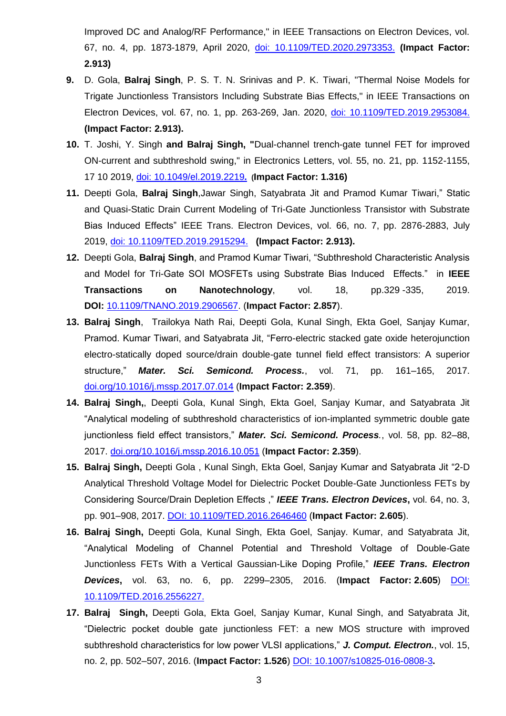Improved DC and Analog/RF Performance," in IEEE Transactions on Electron Devices, vol. 67, no. 4, pp. 1873-1879, April 2020, doi: 10.1109/TED.2020.2973353. **(Impact Factor: 2.913)**

- **9.** D. Gola, **Balraj Singh**, P. S. T. N. Srinivas and P. K. Tiwari, "Thermal Noise Models for Trigate Junctionless Transistors Including Substrate Bias Effects," in IEEE Transactions on Electron Devices, vol. 67, no. 1, pp. 263-269, Jan. 2020, doi: 10.1109/TED.2019.2953084. **(Impact Factor: 2.913).**
- **10.** T. Joshi, Y. Singh **and Balraj Singh, "**Dual-channel trench-gate tunnel FET for improved ON-current and subthreshold swing," in Electronics Letters, vol. 55, no. 21, pp. 1152-1155, 17 10 2019, doi: 10.1049/el.2019.2219**. (Impact Factor: 1.316)**
- **11.** Deepti Gola, **Balraj Singh**,Jawar Singh, Satyabrata Jit and Pramod Kumar Tiwari,‖ Static and Quasi-Static Drain Current Modeling of Tri-Gate Junctionless Transistor with Substrate Bias Induced Effects" IEEE Trans. Electron Devices, vol. 66, no. 7, pp. 2876-2883, July 2019, doi: 10.1109/TED.2019.2915294. **(Impact Factor: 2.913).**
- **12.** Deepti Gola, **Balraj Singh**, and Pramod Kumar Tiwari, "Subthreshold Characteristic Analysis and Model for Tri-Gate SOI MOSFETs using Substrate Bias Induced Effects.‖ in **IEEE Transactions on Nanotechnology**, vol. 18, pp.329 -335, 2019. **DOI:** [10.1109/TNANO.2019.2906567.](https://doi.org/10.1109/TNANO.2019.2906567) (**Impact Factor: 2.857**).
- **13. Balraj Singh**, Trailokya Nath Rai, Deepti Gola, Kunal Singh, Ekta Goel, Sanjay Kumar, Pramod. Kumar Tiwari, and Satyabrata Jit, "Ferro-electric stacked gate oxide heterojunction electro-statically doped source/drain double-gate tunnel field effect transistors: A superior structure," Mater. Sci. Semicond. Process., vol. 71, pp. 161-165, 2017. doi.org/10.1016/j.mssp.2017.07.014 (**Impact Factor: 2.359**).
- **14. Balraj Singh,**, Deepti Gola, Kunal Singh, Ekta Goel, Sanjay Kumar, and Satyabrata Jit "Analytical modeling of subthreshold characteristics of ion-implanted symmetric double gate junctionless field effect transistors," Mater. Sci. Semicond. Process., vol. 58, pp. 82-88, 2017. doi.org/10.1016/j.mssp.2016.10.051 (**Impact Factor: 2.359**).
- 15. Balraj Singh, Deepti Gola, Kunal Singh, Ekta Goel, Sanjay Kumar and Satyabrata Jit "2-D Analytical Threshold Voltage Model for Dielectric Pocket Double-Gate Junctionless FETs by Considering Source/Drain Depletion Effects ,‖ *IEEE Trans. Electron Devices***,** vol. 64, no. 3, pp. 901–908, 2017. DOI: 10.1109/TED.2016.2646460 (**Impact Factor: 2.605**).
- **16. Balraj Singh,** Deepti Gola, Kunal Singh, Ekta Goel, Sanjay. Kumar, and Satyabrata Jit, ―Analytical Modeling of Channel Potential and Threshold Voltage of Double-Gate Junctionless FETs With a Vertical Gaussian-Like Doping Profile," IEEE Trans. Electron *Devices***,** vol. 63, no. 6, pp. 2299–2305, 2016. (**Impact Factor: 2.605**) DOI: 10.1109/TED.2016.2556227.
- **17. Balraj Singh,** Deepti Gola, Ekta Goel, Sanjay Kumar, Kunal Singh, and Satyabrata Jit, ―Dielectric pocket double gate junctionless FET: a new MOS structure with improved subthreshold characteristics for low power VLSI applications," J. Comput. Electron., vol. 15, no. 2, pp. 502–507, 2016. (**Impact Factor: 1.526**) DOI: 10.1007/s10825-016-0808-3**.**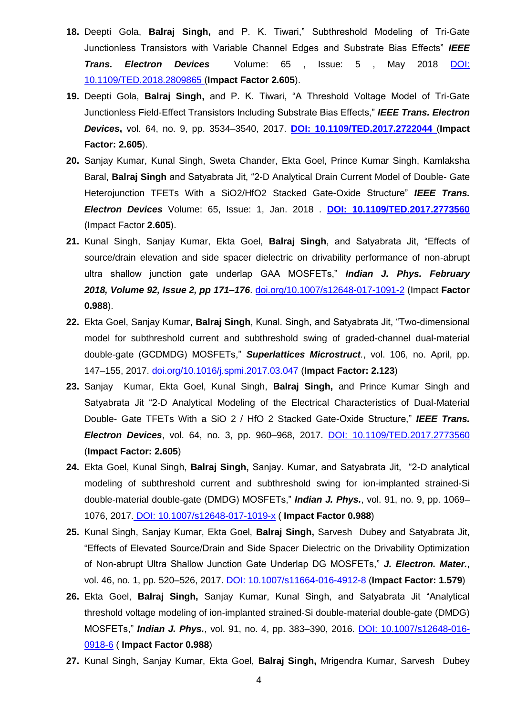- 18. Deepti Gola, Balraj Singh, and P. K. Tiwari," Subthreshold Modeling of Tri-Gate Junctionless Transistors with Variable Channel Edges and Substrate Bias Effects‖ *IEEE Trans. Electron Devices*Volume: 65 , Issue: 5 , May 2018 DOI: 10.1109/TED.2018.2809865 (**Impact Factor 2.605**).
- 19. Deepti Gola, Balraj Singh, and P. K. Tiwari, "A Threshold Voltage Model of Tri-Gate Junctionless Field-Effect Transistors Including Substrate Bias Effects,‖ *IEEE Trans. Electron Devices***,** vol. 64, no. 9, pp. 3534–3540, 2017. **DOI: 10.1109/TED.2017.2722044** (**Impact Factor: 2.605**).
- **20.** Sanjay Kumar, Kunal Singh, Sweta Chander, Ekta Goel, Prince Kumar Singh, Kamlaksha Baral, **Balraj Singh** and Satyabrata Jit, "2-D Analytical Drain Current Model of Double- Gate Heterojunction TFETs With a SiO2/HfO2 Stacked Gate-Oxide Structure" IEEE Trans. *Electron Devices* Volume: 65, Issue: 1, Jan. 2018 . **DOI: 10.1109/TED.2017.2773560**  (Impact Factor **2.605**).
- 21. Kunal Singh, Sanjay Kumar, Ekta Goel, Balraj Singh, and Satyabrata Jit, "Effects of source/drain elevation and side spacer dielectric on drivability performance of non-abrupt ultra shallow junction gate underlap GAA MOSFETs," Indian J. Phys. February *2018, Volume 92, [Issue](https://link.springer.com/journal/12648/92/2/page/1) 2, pp 171–176*. doi.org/10.1007/s12648-017-1091-2 (Impact **Factor 0.988**).
- **22.** Ekta Goel, Sanjay Kumar, **Balraj Singh**, Kunal. Singh, and Satyabrata Jit, "Two-dimensional model for subthreshold current and subthreshold swing of graded-channel dual-material double-gate (GCDMDG) MOSFETs," Superlattices Microstruct., vol. 106, no. April, pp. 147–155, 2017. doi.org/10.1016/j.spmi.2017.03.047 (**Impact Factor: 2.123**)
- **23.** Sanjay Kumar, Ekta Goel, Kunal Singh, **Balraj Singh,** and Prince Kumar Singh and Satyabrata Jit "2-D Analytical Modeling of the Electrical Characteristics of Dual-Material Double- Gate TFETs With a SiO 2 / HfO 2 Stacked Gate-Oxide Structure," IEEE Trans. *Electron Devices*, vol. 64, no. 3, pp. 960–968, 2017. DOI: 10.1109/TED.2017.2773560 (**Impact Factor: 2.605**)
- 24. Ekta Goel, Kunal Singh, Balraj Singh, Sanjay. Kumar, and Satyabrata Jit, "2-D analytical modeling of subthreshold current and subthreshold swing for ion-implanted strained-Si double-material double-gate (DMDG) MOSFETs," *Indian J. Phys.*, vol. 91, no. 9, pp. 1069– 1076, 2017. DOI: 10.1007/s12648-017-1019-x ( **Impact Factor 0.988**)
- **25.** Kunal Singh, Sanjay Kumar, Ekta Goel, **Balraj Singh,** Sarvesh Dubey and Satyabrata Jit, ―Effects of Elevated Source/Drain and Side Spacer Dielectric on the Drivability Optimization of Non-abrupt Ultra Shallow Junction Gate Underlap DG MOSFETs," J. Electron. Mater., vol. 46, no. 1, pp. 520–526, 2017. DOI: 10.1007/s11664-016-4912-8 (**Impact Factor: 1.579**)
- 26. Ekta Goel, Balraj Singh, Sanjay Kumar, Kunal Singh, and Satyabrata Jit "Analytical threshold voltage modeling of ion-implanted strained-Si double-material double-gate (DMDG) MOSFETs," *Indian J. Phys.*, vol. 91, no. 4, pp. 383-390, 2016. DOI: 10.1007/s12648-016-0918-6 ( **Impact Factor 0.988**)
- **27.** Kunal Singh, Sanjay Kumar, Ekta Goel, **Balraj Singh,** Mrigendra Kumar, Sarvesh Dubey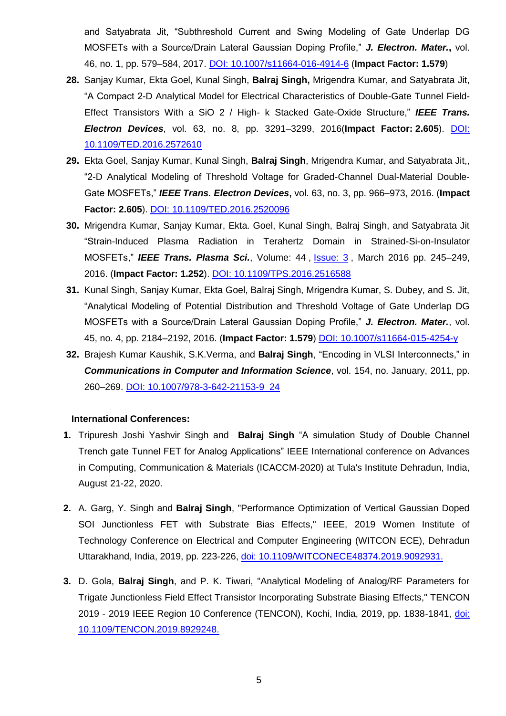and Satyabrata Jit, "Subthreshold Current and Swing Modeling of Gate Underlap DG MOSFETs with a Source/Drain Lateral Gaussian Doping Profile," J. Electron. Mater., vol. 46, no. 1, pp. 579–584, 2017. DOI: 10.1007/s11664-016-4914-6 (**Impact Factor: 1.579**)

- **28.** Sanjay Kumar, Ekta Goel, Kunal Singh, **Balraj Singh,** Mrigendra Kumar, and Satyabrata Jit, ―A Compact 2-D Analytical Model for Electrical Characteristics of Double-Gate Tunnel Field-Effect Transistors With a SiO 2 / High- k Stacked Gate-Oxide Structure," IEEE Trans. *Electron Devices*, vol. 63, no. 8, pp. 3291–3299, 2016(**Impact Factor: 2.605**). DOI: 10.1109/TED.2016.2572610
- **29.** Ekta Goel, Sanjay Kumar, Kunal Singh, **Balraj Singh**, Mrigendra Kumar, and Satyabrata Jit,, ―2-D Analytical Modeling of Threshold Voltage for Graded-Channel Dual-Material Double-Gate MOSFETs,‖ *IEEE Trans. Electron Devices***,** vol. 63, no. 3, pp. 966–973, 2016. (**Impact Factor: 2.605**). DOI: 10.1109/TED.2016.2520096
- **30.** Mrigendra Kumar, Sanjay Kumar, Ekta. Goel, Kunal Singh, Balraj Singh, and Satyabrata Jit ―Strain-Induced Plasma Radiation in Terahertz Domain in Strained-Si-on-Insulator MOSFETs,‖ *IEEE Trans. Plasma Sci.*, Volume: 44 , [Issue: 3](https://ieeexplore.ieee.org/xpl/tocresult.jsp?isnumber=7428986) , March 2016 pp. 245–249, 2016. (**Impact Factor: 1.252**). DOI: 10.1109/TPS.2016.2516588
- **31.** Kunal Singh, Sanjay Kumar, Ekta Goel, Balraj Singh, Mrigendra Kumar, S. Dubey, and S. Jit, ―Analytical Modeling of Potential Distribution and Threshold Voltage of Gate Underlap DG MOSFETs with a Source/Drain Lateral Gaussian Doping Profile," J. Electron. Mater., vol. 45, no. 4, pp. 2184–2192, 2016. (**Impact Factor: 1.579**) DOI: 10.1007/s11664-015-4254-y
- **32.** Brajesh Kumar Kaushik, S.K.Verma, and Balraj Singh, "Encoding in VLSI Interconnects," in *Communications in Computer and Information Science*, vol. 154, no. January, 2011, pp. 260–269. DOI: 10.1007/978-3-642-21153-9\_24

#### **International Conferences:**

- **1.** Tripuresh Joshi Yashvir Singh and **Balraj Singh** "A simulation Study of Double Channel Trench gate Tunnel FET for Analog Applications" IEEE International conference on Advances in Computing, Communication & Materials (ICACCM-2020) at Tula's Institute Dehradun, India, August 21-22, 2020.
- **2.** A. Garg, Y. Singh and **Balraj Singh**, "Performance Optimization of Vertical Gaussian Doped SOI Junctionless FET with Substrate Bias Effects," IEEE, 2019 Women Institute of Technology Conference on Electrical and Computer Engineering (WITCON ECE), Dehradun Uttarakhand, India, 2019, pp. 223-226, doi: 10.1109/WITCONECE48374.2019.9092931.
- **3.** D. Gola, **Balraj Singh**, and P. K. Tiwari, "Analytical Modeling of Analog/RF Parameters for Trigate Junctionless Field Effect Transistor Incorporating Substrate Biasing Effects," TENCON 2019 - 2019 IEEE Region 10 Conference (TENCON), Kochi, India, 2019, pp. 1838-1841, doi: 10.1109/TENCON.2019.8929248.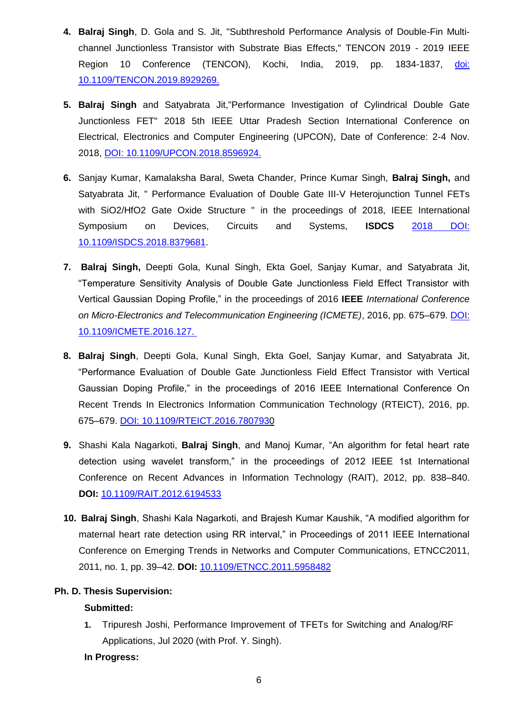- **4. Balraj Singh**, D. Gola and S. Jit, "Subthreshold Performance Analysis of Double-Fin Multichannel Junctionless Transistor with Substrate Bias Effects," TENCON 2019 - 2019 IEEE Region 10 Conference (TENCON), Kochi, India, 2019, pp. 1834-1837, doi: 10.1109/TENCON.2019.8929269.
- **5. Balraj Singh** and Satyabrata Jit,"Performance Investigation of Cylindrical Double Gate Junctionless FET" 2018 5th IEEE Uttar Pradesh Section International Conference on Electrical, Electronics and Computer Engineering (UPCON), Date of Conference: 2-4 Nov. 2018, DOI: 10.1109/UPCON.2018.8596924.
- **6.** Sanjay Kumar, Kamalaksha Baral, Sweta Chander, Prince Kumar Singh, **Balraj Singh,** and Satyabrata Jit, " Performance Evaluation of Double Gate III-V Heterojunction Tunnel FETs with SiO2/HfO2 Gate Oxide Structure " in the proceedings of 2018, IEEE International Symposium on Devices, Circuits and Systems, **ISDCS** 2018 DOI: 10.1109/ISDCS.2018.8379681.
- **7. Balraj Singh,** Deepti Gola, Kunal Singh, Ekta Goel, Sanjay Kumar, and Satyabrata Jit, ―Temperature Sensitivity Analysis of Double Gate Junctionless Field Effect Transistor with Vertical Gaussian Doping Profile,‖ in the proceedings of 2016 **IEEE** *International Conference on Micro-Electronics and Telecommunication Engineering (ICMETE)*, 2016, pp. 675–679. DOI: 10.1109/ICMETE.2016.127.
- **8. Balraj Singh**, Deepti Gola, Kunal Singh, Ekta Goel, Sanjay Kumar, and Satyabrata Jit, ―Performance Evaluation of Double Gate Junctionless Field Effect Transistor with Vertical Gaussian Doping Profile," in the proceedings of 2016 IEEE International Conference On Recent Trends In Electronics Information Communication Technology (RTEICT), 2016, pp. 675–679. DOI: 10.1109/RTEICT.2016.7807930
- **9.** Shashi Kala Nagarkoti, **Balraj Singh**, and Manoj Kumar, "An algorithm for fetal heart rate detection using wavelet transform," in the proceedings of 2012 IEEE 1st International Conference on Recent Advances in Information Technology (RAIT), 2012, pp. 838–840. **DOI:** [10.1109/RAIT.2012.6194533](https://doi.org/10.1109/RAIT.2012.6194533)
- 10. **Balraj Singh**, Shashi Kala Nagarkoti, and Brajesh Kumar Kaushik, "A modified algorithm for maternal heart rate detection using RR interval," in Proceedings of 2011 IEEE International Conference on Emerging Trends in Networks and Computer Communications, ETNCC2011, 2011, no. 1, pp. 39–42. **DOI:** [10.1109/ETNCC.2011.5958482](https://doi.org/10.1109/ETNCC.2011.5958482)

#### **Ph. D. Thesis Supervision:**

#### **Submitted:**

**1.** Tripuresh Joshi, Performance Improvement of TFETs for Switching and Analog/RF Applications, Jul 2020 (with Prof. Y. Singh).

#### **In Progress:**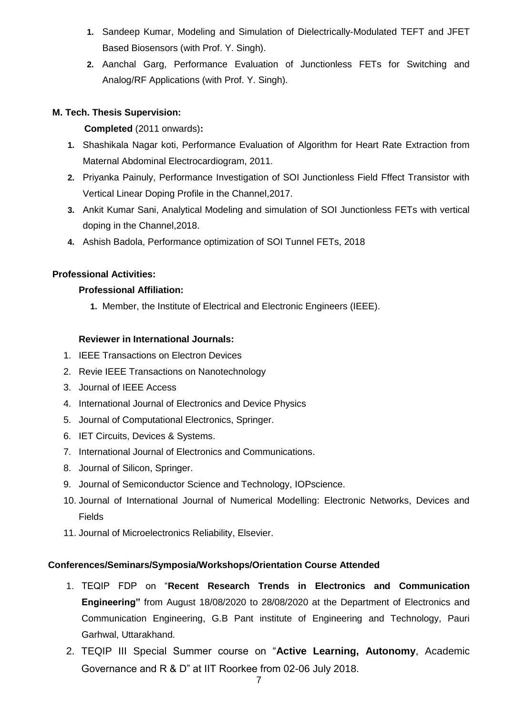- **1.** Sandeep Kumar, Modeling and Simulation of Dielectrically-Modulated TEFT and JFET Based Biosensors (with Prof. Y. Singh).
- **2.** Aanchal Garg, Performance Evaluation of Junctionless FETs for Switching and Analog/RF Applications (with Prof. Y. Singh).

## **M. Tech. Thesis Supervision:**

## **Completed** (2011 onwards)**:**

- **1.** Shashikala Nagar koti, Performance Evaluation of Algorithm for Heart Rate Extraction from Maternal Abdominal Electrocardiogram, 2011.
- **2.** Priyanka Painuly, Performance Investigation of SOI Junctionless Field Fffect Transistor with Vertical Linear Doping Profile in the Channel,2017.
- **3.** Ankit Kumar Sani, Analytical Modeling and simulation of SOI Junctionless FETs with vertical doping in the Channel,2018.
- **4.** Ashish Badola, Performance optimization of SOI Tunnel FETs, 2018

## **Professional Activities:**

## **Professional Affiliation:**

**1.** Member, the Institute of Electrical and Electronic Engineers (IEEE).

## **Reviewer in International Journals:**

- 1. IEEE Transactions on Electron Devices
- 2. Revie IEEE Transactions on Nanotechnology
- 3. Journal of IEEE Access
- 4. International Journal of Electronics and Device Physics
- 5. Journal of Computational Electronics, Springer.
- 6. IET Circuits, Devices & Systems.
- 7. International Journal of Electronics and Communications.
- 8. Journal of Silicon, Springer.
- 9. Journal of Semiconductor Science and Technology, IOPscience.
- 10. Journal of International Journal of Numerical Modelling: Electronic Networks, Devices and Fields
- 11. Journal of Microelectronics Reliability, Elsevier.

#### **Conferences/Seminars/Symposia/Workshops/Orientation Course Attended**

- 1. TEQIP FDP on "Recent Research Trends in Electronics and Communication **Engineering"** from August 18/08/2020 to 28/08/2020 at the Department of Electronics and Communication Engineering, G.B Pant institute of Engineering and Technology, Pauri Garhwal, Uttarakhand.
- 2. TEQIP III Special Summer course on "Active Learning, Autonomy, Academic Governance and R & D" at IIT Roorkee from 02-06 July 2018.